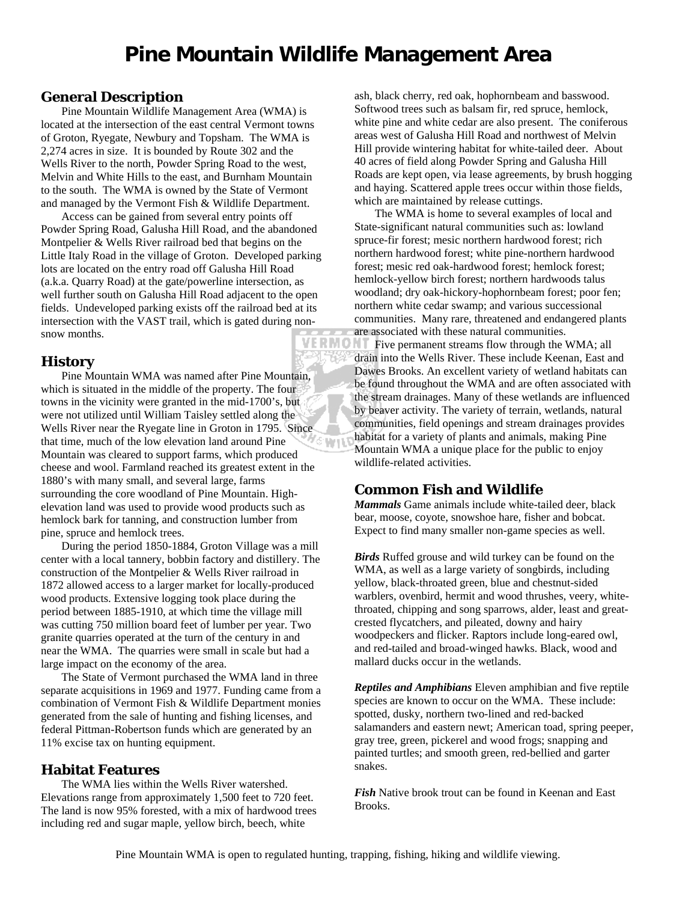## **General Description**

Pine Mountain Wildlife Management Area (WMA) is located at the intersection of the east central Vermont towns of Groton, Ryegate, Newbury and Topsham. The WMA is 2,274 acres in size. It is bounded by Route 302 and the Wells River to the north, Powder Spring Road to the west, Melvin and White Hills to the east, and Burnham Mountain to the south. The WMA is owned by the State of Vermont and managed by the Vermont Fish & Wildlife Department.

Access can be gained from several entry points off Powder Spring Road, Galusha Hill Road, and the abandoned Montpelier & Wells River railroad bed that begins on the Little Italy Road in the village of Groton. Developed parking lots are located on the entry road off Galusha Hill Road (a.k.a. Quarry Road) at the gate/powerline intersection, as well further south on Galusha Hill Road adjacent to the open fields. Undeveloped parking exists off the railroad bed at its intersection with the VAST trail, which is gated during nonsnow months.

## **History**

Pine Mountain WMA was named after Pine Mountain, which is situated in the middle of the property. The four towns in the vicinity were granted in the mid-1700's, but were not utilized until William Taisley settled along the Wells River near the Ryegate line in Groton in 1795. Since that time, much of the low elevation land around Pine ⁄Տ Կոլե Mountain was cleared to support farms, which produced cheese and wool. Farmland reached its greatest extent in the 1880's with many small, and several large, farms surrounding the core woodland of Pine Mountain. Highelevation land was used to provide wood products such as hemlock bark for tanning, and construction lumber from pine, spruce and hemlock trees.

During the period 1850-1884, Groton Village was a mill center with a local tannery, bobbin factory and distillery. The construction of the Montpelier & Wells River railroad in 1872 allowed access to a larger market for locally-produced wood products. Extensive logging took place during the period between 1885-1910, at which time the village mill was cutting 750 million board feet of lumber per year. Two granite quarries operated at the turn of the century in and near the WMA. The quarries were small in scale but had a large impact on the economy of the area.

The State of Vermont purchased the WMA land in three separate acquisitions in 1969 and 1977. Funding came from a combination of Vermont Fish & Wildlife Department monies generated from the sale of hunting and fishing licenses, and federal Pittman-Robertson funds which are generated by an 11% excise tax on hunting equipment.

## **Habitat Features**

The WMA lies within the Wells River watershed. Elevations range from approximately 1,500 feet to 720 feet. The land is now 95% forested, with a mix of hardwood trees including red and sugar maple, yellow birch, beech, white

ash, black cherry, red oak, hophornbeam and basswood. Softwood trees such as balsam fir, red spruce, hemlock, white pine and white cedar are also present. The coniferous areas west of Galusha Hill Road and northwest of Melvin Hill provide wintering habitat for white-tailed deer. About 40 acres of field along Powder Spring and Galusha Hill Roads are kept open, via lease agreements, by brush hogging and haying. Scattered apple trees occur within those fields, which are maintained by release cuttings.

The WMA is home to several examples of local and State-significant natural communities such as: lowland spruce-fir forest; mesic northern hardwood forest; rich northern hardwood forest; white pine-northern hardwood forest; mesic red oak-hardwood forest; hemlock forest; hemlock-yellow birch forest; northern hardwoods talus woodland; dry oak-hickory-hophornbeam forest; poor fen; northern white cedar swamp; and various successional communities. Many rare, threatened and endangered plants are associated with these natural communities.

**VERMONT** Five permanent streams flow through the WMA; all drain into the Wells River. These include Keenan, East and Dawes Brooks. An excellent variety of wetland habitats can be found throughout the WMA and are often associated with the stream drainages. Many of these wetlands are influenced by beaver activity. The variety of terrain, wetlands, natural communities, field openings and stream drainages provides habitat for a variety of plants and animals, making Pine Mountain WMA a unique place for the public to enjoy wildlife-related activities.

## **Common Fish and Wildlife**

*Mammals* Game animals include white-tailed deer, black bear, moose, coyote, snowshoe hare, fisher and bobcat. Expect to find many smaller non-game species as well.

*Birds* Ruffed grouse and wild turkey can be found on the WMA, as well as a large variety of songbirds, including yellow, black-throated green, blue and chestnut-sided warblers, ovenbird, hermit and wood thrushes, veery, whitethroated, chipping and song sparrows, alder, least and greatcrested flycatchers, and pileated, downy and hairy woodpeckers and flicker. Raptors include long-eared owl, and red-tailed and broad-winged hawks. Black, wood and mallard ducks occur in the wetlands.

*Reptiles and Amphibians* Eleven amphibian and five reptile species are known to occur on the WMA. These include: spotted, dusky, northern two-lined and red-backed salamanders and eastern newt; American toad, spring peeper, gray tree, green, pickerel and wood frogs; snapping and painted turtles; and smooth green, red-bellied and garter snakes.

*Fish* Native brook trout can be found in Keenan and East Brooks.